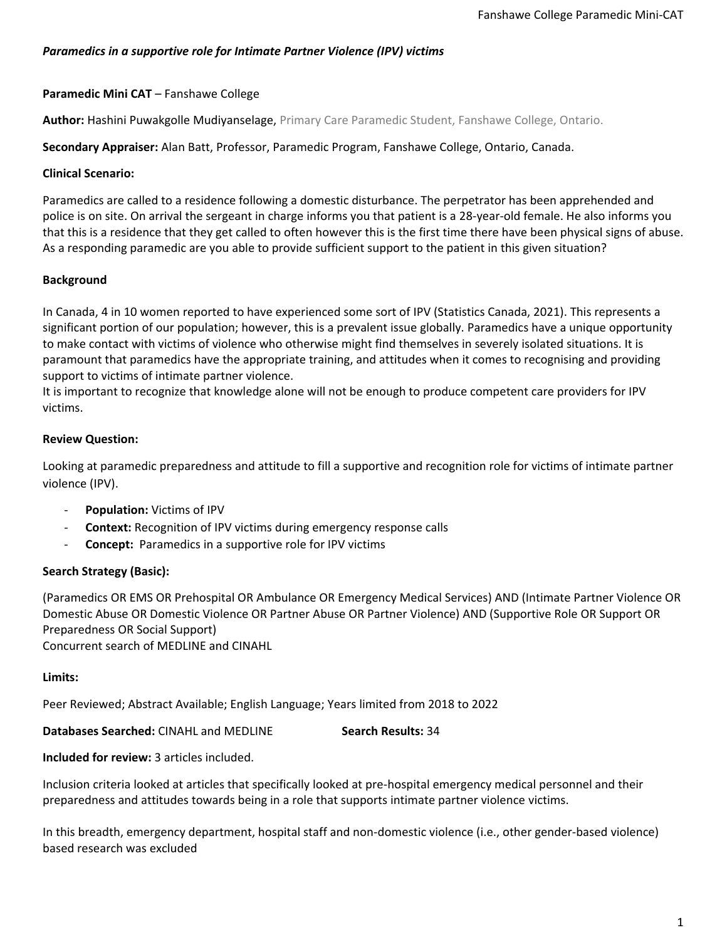### *Paramedics in a supportive role for Intimate Partner Violence (IPV) victims*

### **Paramedic Mini CAT** – Fanshawe College

**Author:** Hashini Puwakgolle Mudiyanselage, Primary Care Paramedic Student, Fanshawe College, Ontario.

**Secondary Appraiser:** Alan Batt, Professor, Paramedic Program, Fanshawe College, Ontario, Canada.

### **Clinical Scenario:**

Paramedics are called to a residence following a domestic disturbance. The perpetrator has been apprehended and police is on site. On arrival the sergeant in charge informs you that patient is a 28-year-old female. He also informs you that this is a residence that they get called to often however this is the first time there have been physical signs of abuse. As a responding paramedic are you able to provide sufficient support to the patient in this given situation?

### **Background**

In Canada, 4 in 10 women reported to have experienced some sort of IPV (Statistics Canada, 2021). This represents a significant portion of our population; however, this is a prevalent issue globally. Paramedics have a unique opportunity to make contact with victims of violence who otherwise might find themselves in severely isolated situations. It is paramount that paramedics have the appropriate training, and attitudes when it comes to recognising and providing support to victims of intimate partner violence.

It is important to recognize that knowledge alone will not be enough to produce competent care providers for IPV victims.

### **Review Question:**

Looking at paramedic preparedness and attitude to fill a supportive and recognition role for victims of intimate partner violence (IPV).

- **Population:** Victims of IPV
- **Context:** Recognition of IPV victims during emergency response calls
- **Concept:** Paramedics in a supportive role for IPV victims

## **Search Strategy (Basic):**

(Paramedics OR EMS OR Prehospital OR Ambulance OR Emergency Medical Services) AND (Intimate Partner Violence OR Domestic Abuse OR Domestic Violence OR Partner Abuse OR Partner Violence) AND (Supportive Role OR Support OR Preparedness OR Social Support) Concurrent search of MEDLINE and CINAHL

#### **Limits:**

Peer Reviewed; Abstract Available; English Language; Years limited from 2018 to 2022

**Databases Searched:** CINAHL and MEDLINE **Search Results:** 34

### **Included for review:** 3 articles included.

Inclusion criteria looked at articles that specifically looked at pre-hospital emergency medical personnel and their preparedness and attitudes towards being in a role that supports intimate partner violence victims.

In this breadth, emergency department, hospital staff and non-domestic violence (i.e., other gender-based violence) based research was excluded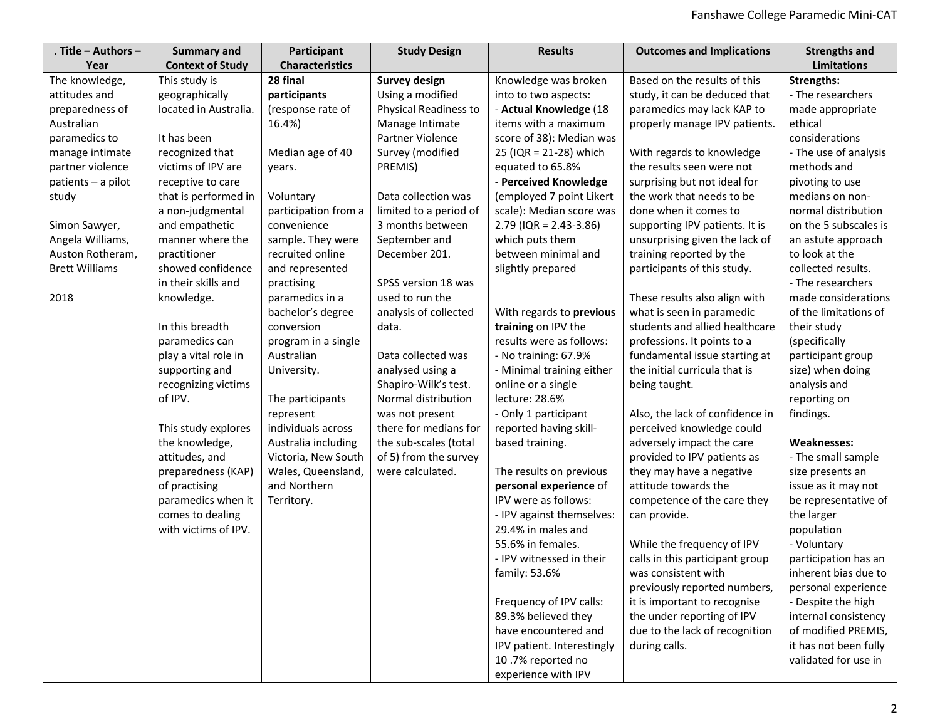| Title - Authors -     | <b>Summary and</b>      | Participant            | <b>Study Design</b>    | <b>Results</b>             | <b>Outcomes and Implications</b> | <b>Strengths and</b>  |
|-----------------------|-------------------------|------------------------|------------------------|----------------------------|----------------------------------|-----------------------|
| Year                  | <b>Context of Study</b> | <b>Characteristics</b> |                        |                            |                                  | <b>Limitations</b>    |
| The knowledge,        | This study is           | 28 final               | <b>Survey design</b>   | Knowledge was broken       | Based on the results of this     | <b>Strengths:</b>     |
| attitudes and         | geographically          | participants           | Using a modified       | into to two aspects:       | study, it can be deduced that    | - The researchers     |
| preparedness of       | located in Australia.   | (response rate of      | Physical Readiness to  | - Actual Knowledge (18     | paramedics may lack KAP to       | made appropriate      |
| Australian            |                         | 16.4%)                 | Manage Intimate        | items with a maximum       | properly manage IPV patients.    | ethical               |
| paramedics to         | It has been             |                        | Partner Violence       | score of 38): Median was   |                                  | considerations        |
| manage intimate       | recognized that         | Median age of 40       | Survey (modified       | 25 (IQR = 21-28) which     | With regards to knowledge        | - The use of analysis |
| partner violence      | victims of IPV are      | years.                 | PREMIS)                | equated to 65.8%           | the results seen were not        | methods and           |
| patients - a pilot    | receptive to care       |                        |                        | - Perceived Knowledge      | surprising but not ideal for     | pivoting to use       |
| study                 | that is performed in    | Voluntary              | Data collection was    | (employed 7 point Likert   | the work that needs to be        | medians on non-       |
|                       | a non-judgmental        | participation from a   | limited to a period of | scale): Median score was   | done when it comes to            | normal distribution   |
| Simon Sawyer,         | and empathetic          | convenience            | 3 months between       | $2.79$ (IQR = 2.43-3.86)   | supporting IPV patients. It is   | on the 5 subscales is |
| Angela Williams,      | manner where the        | sample. They were      | September and          | which puts them            | unsurprising given the lack of   | an astute approach    |
| Auston Rotheram,      | practitioner            | recruited online       | December 201.          | between minimal and        | training reported by the         | to look at the        |
| <b>Brett Williams</b> | showed confidence       | and represented        |                        | slightly prepared          | participants of this study.      | collected results.    |
|                       | in their skills and     | practising             | SPSS version 18 was    |                            |                                  | - The researchers     |
| 2018                  | knowledge.              | paramedics in a        | used to run the        |                            | These results also align with    | made considerations   |
|                       |                         | bachelor's degree      | analysis of collected  | With regards to previous   | what is seen in paramedic        | of the limitations of |
|                       | In this breadth         | conversion             | data.                  | training on IPV the        | students and allied healthcare   | their study           |
|                       | paramedics can          | program in a single    |                        | results were as follows:   | professions. It points to a      | (specifically         |
|                       | play a vital role in    | Australian             | Data collected was     | - No training: 67.9%       | fundamental issue starting at    | participant group     |
|                       | supporting and          | University.            | analysed using a       | - Minimal training either  | the initial curricula that is    | size) when doing      |
|                       | recognizing victims     |                        | Shapiro-Wilk's test.   | online or a single         | being taught.                    | analysis and          |
|                       | of IPV.                 | The participants       | Normal distribution    | lecture: 28.6%             |                                  | reporting on          |
|                       |                         | represent              | was not present        | - Only 1 participant       | Also, the lack of confidence in  | findings.             |
|                       | This study explores     | individuals across     | there for medians for  | reported having skill-     | perceived knowledge could        |                       |
|                       | the knowledge,          | Australia including    | the sub-scales (total  | based training.            | adversely impact the care        | <b>Weaknesses:</b>    |
|                       | attitudes, and          | Victoria, New South    | of 5) from the survey  |                            | provided to IPV patients as      | - The small sample    |
|                       | preparedness (KAP)      | Wales, Queensland,     | were calculated.       | The results on previous    | they may have a negative         | size presents an      |
|                       | of practising           | and Northern           |                        | personal experience of     | attitude towards the             | issue as it may not   |
|                       | paramedics when it      | Territory.             |                        | IPV were as follows:       | competence of the care they      | be representative of  |
|                       | comes to dealing        |                        |                        | - IPV against themselves:  | can provide.                     | the larger            |
|                       | with victims of IPV.    |                        |                        | 29.4% in males and         |                                  | population            |
|                       |                         |                        |                        | 55.6% in females.          | While the frequency of IPV       | - Voluntary           |
|                       |                         |                        |                        | - IPV witnessed in their   | calls in this participant group  | participation has an  |
|                       |                         |                        |                        | family: 53.6%              | was consistent with              | inherent bias due to  |
|                       |                         |                        |                        |                            | previously reported numbers,     | personal experience   |
|                       |                         |                        |                        | Frequency of IPV calls:    | it is important to recognise     | - Despite the high    |
|                       |                         |                        |                        | 89.3% believed they        | the under reporting of IPV       | internal consistency  |
|                       |                         |                        |                        | have encountered and       | due to the lack of recognition   | of modified PREMIS,   |
|                       |                         |                        |                        | IPV patient. Interestingly | during calls.                    | it has not been fully |
|                       |                         |                        |                        | 10.7% reported no          |                                  | validated for use in  |
|                       |                         |                        |                        | experience with IPV        |                                  |                       |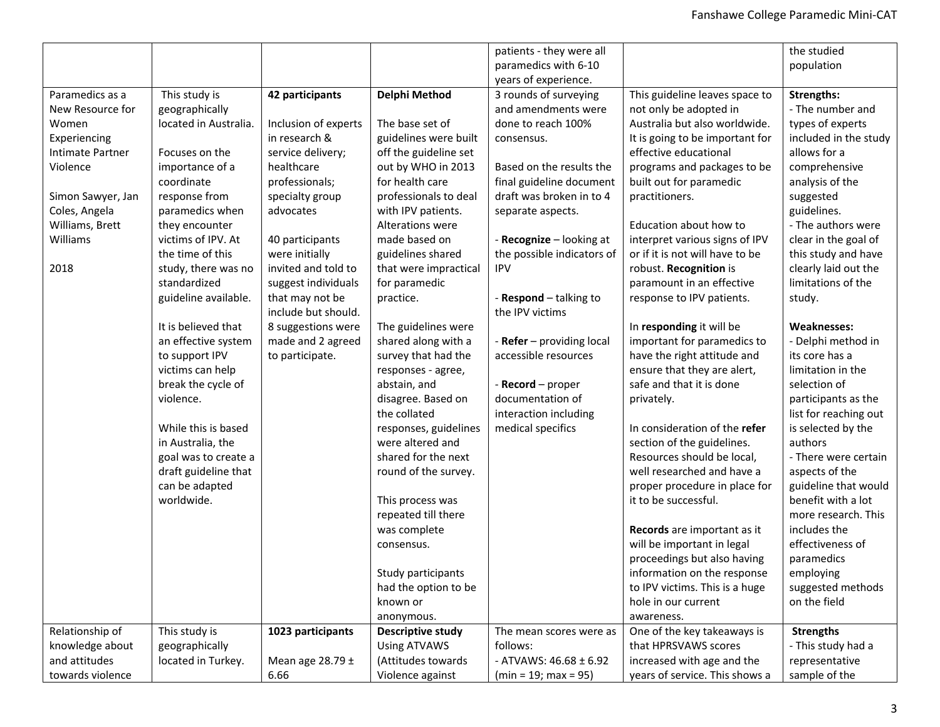| patients - they were all                                                                                                                      | the studied           |
|-----------------------------------------------------------------------------------------------------------------------------------------------|-----------------------|
| paramedics with 6-10                                                                                                                          | population            |
| years of experience.                                                                                                                          |                       |
| Paramedics as a<br>This study is<br>Delphi Method<br>3 rounds of surveying<br>This guideline leaves space to<br>42 participants               | <b>Strengths:</b>     |
| New Resource for<br>geographically<br>and amendments were<br>not only be adopted in                                                           | - The number and      |
| located in Australia.<br>Australia but also worldwide.<br>Inclusion of experts<br>The base set of<br>done to reach 100%<br>Women              | types of experts      |
| in research &<br>guidelines were built<br>Experiencing<br>It is going to be important for<br>consensus.                                       | included in the study |
| off the guideline set<br>effective educational<br>Intimate Partner<br>Focuses on the<br>service delivery;                                     | allows for a          |
| out by WHO in 2013<br>Violence<br>importance of a<br>healthcare<br>Based on the results the<br>programs and packages to be                    | comprehensive         |
| for health care<br>professionals;<br>final guideline document<br>built out for paramedic<br>coordinate                                        | analysis of the       |
| response from<br>professionals to deal<br>draft was broken in to 4<br>Simon Sawyer, Jan<br>specialty group<br>practitioners.                  | suggested             |
| Coles, Angela<br>paramedics when<br>advocates<br>with IPV patients.<br>separate aspects.                                                      | guidelines.           |
| Williams, Brett<br>Education about how to<br>they encounter<br><b>Alterations were</b>                                                        | - The authors were    |
| Williams<br>victims of IPV. At<br>interpret various signs of IPV<br>40 participants<br>made based on<br>- Recognize - looking at              | clear in the goal of  |
| the time of this<br>or if it is not will have to be<br>were initially<br>guidelines shared<br>the possible indicators of                      | this study and have   |
| invited and told to<br>robust. Recognition is<br>2018<br>study, there was no<br>that were impractical<br><b>IPV</b>                           | clearly laid out the  |
| paramount in an effective<br>standardized<br>suggest individuals<br>for paramedic                                                             | limitations of the    |
| guideline available.<br>that may not be<br>- Respond - talking to<br>response to IPV patients.<br>practice.                                   | study.                |
| include but should.<br>the IPV victims                                                                                                        |                       |
| It is believed that<br>8 suggestions were<br>The guidelines were<br>In responding it will be                                                  | <b>Weaknesses:</b>    |
| an effective system<br>made and 2 agreed<br>shared along with a<br>- Refer - providing local<br>important for paramedics to                   | - Delphi method in    |
| to support IPV<br>accessible resources<br>have the right attitude and<br>to participate.<br>survey that had the                               | its core has a        |
| victims can help<br>ensure that they are alert,<br>responses - agree,                                                                         | limitation in the     |
| break the cycle of<br>safe and that it is done<br>abstain, and<br>- Record - proper                                                           | selection of          |
| violence.<br>disagree. Based on<br>documentation of<br>privately.                                                                             | participants as the   |
| the collated<br>interaction including                                                                                                         | list for reaching out |
| In consideration of the refer<br>While this is based<br>responses, guidelines<br>medical specifics                                            | is selected by the    |
| in Australia, the<br>were altered and<br>section of the guidelines.                                                                           | authors               |
| shared for the next<br>Resources should be local,<br>goal was to create a                                                                     | - There were certain  |
| draft guideline that<br>well researched and have a<br>round of the survey.                                                                    | aspects of the        |
| can be adapted<br>proper procedure in place for                                                                                               | guideline that would  |
| worldwide.<br>it to be successful.<br>This process was                                                                                        | benefit with a lot    |
| repeated till there                                                                                                                           | more research. This   |
| was complete<br>Records are important as it                                                                                                   | includes the          |
| will be important in legal<br>consensus.                                                                                                      | effectiveness of      |
| proceedings but also having                                                                                                                   | paramedics            |
| Study participants<br>information on the response                                                                                             | employing             |
| had the option to be<br>to IPV victims. This is a huge                                                                                        | suggested methods     |
| known or<br>hole in our current                                                                                                               | on the field          |
| awareness.<br>anonymous.                                                                                                                      |                       |
| Relationship of<br>This study is<br>1023 participants<br>One of the key takeaways is<br><b>Descriptive study</b><br>The mean scores were as   | <b>Strengths</b>      |
| knowledge about<br>geographically<br>follows:<br>that HPRSVAWS scores<br><b>Using ATVAWS</b>                                                  | - This study had a    |
| increased with age and the<br>and attitudes<br>located in Turkey.<br>Mean age $28.79 \pm$<br>(Attitudes towards<br>- ATVAWS: $46.68 \pm 6.92$ | representative        |
| years of service. This shows a<br>towards violence<br>6.66<br>Violence against<br>$(min = 19; max = 95)$                                      | sample of the         |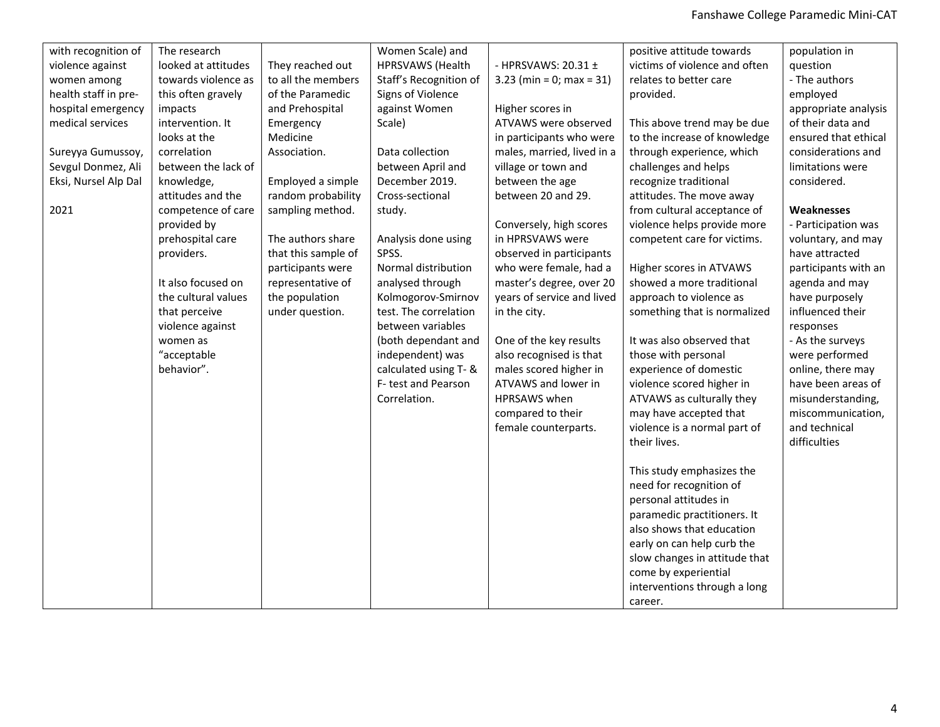| with recognition of  | The research        |                     | Women Scale) and       |                            | positive attitude towards     | population in        |
|----------------------|---------------------|---------------------|------------------------|----------------------------|-------------------------------|----------------------|
| violence against     | looked at attitudes | They reached out    | HPRSVAWS (Health       | - HPRSVAWS: 20.31 ±        | victims of violence and often | question             |
| women among          | towards violence as | to all the members  | Staff's Recognition of | $3.23$ (min = 0; max = 31) | relates to better care        | - The authors        |
| health staff in pre- | this often gravely  | of the Paramedic    | Signs of Violence      |                            | provided.                     | employed             |
| hospital emergency   | impacts             | and Prehospital     | against Women          | Higher scores in           |                               | appropriate analysis |
| medical services     | intervention. It    | Emergency           | Scale)                 | ATVAWS were observed       | This above trend may be due   | of their data and    |
|                      | looks at the        | Medicine            |                        | in participants who were   | to the increase of knowledge  | ensured that ethical |
| Sureyya Gumussoy,    | correlation         | Association.        | Data collection        | males, married, lived in a | through experience, which     | considerations and   |
| Sevgul Donmez, Ali   | between the lack of |                     | between April and      | village or town and        | challenges and helps          | limitations were     |
| Eksi, Nursel Alp Dal | knowledge,          | Employed a simple   | December 2019.         | between the age            | recognize traditional         | considered.          |
|                      | attitudes and the   | random probability  | Cross-sectional        | between 20 and 29.         | attitudes. The move away      |                      |
| 2021                 | competence of care  | sampling method.    | study.                 |                            | from cultural acceptance of   | Weaknesses           |
|                      | provided by         |                     |                        | Conversely, high scores    | violence helps provide more   | - Participation was  |
|                      | prehospital care    | The authors share   | Analysis done using    | in HPRSVAWS were           | competent care for victims.   | voluntary, and may   |
|                      | providers.          | that this sample of | SPSS.                  | observed in participants   |                               | have attracted       |
|                      |                     | participants were   | Normal distribution    | who were female, had a     | Higher scores in ATVAWS       | participants with an |
|                      | It also focused on  | representative of   | analysed through       | master's degree, over 20   | showed a more traditional     | agenda and may       |
|                      | the cultural values | the population      | Kolmogorov-Smirnov     | years of service and lived | approach to violence as       | have purposely       |
|                      | that perceive       | under question.     | test. The correlation  | in the city.               | something that is normalized  | influenced their     |
|                      | violence against    |                     | between variables      |                            |                               | responses            |
|                      | women as            |                     | (both dependant and    | One of the key results     | It was also observed that     | - As the surveys     |
|                      | "acceptable         |                     | independent) was       | also recognised is that    | those with personal           | were performed       |
|                      | behavior".          |                     | calculated using T- &  | males scored higher in     | experience of domestic        | online, there may    |
|                      |                     |                     | F-test and Pearson     | ATVAWS and lower in        | violence scored higher in     | have been areas of   |
|                      |                     |                     | Correlation.           | <b>HPRSAWS</b> when        | ATVAWS as culturally they     | misunderstanding,    |
|                      |                     |                     |                        | compared to their          | may have accepted that        | miscommunication,    |
|                      |                     |                     |                        | female counterparts.       | violence is a normal part of  | and technical        |
|                      |                     |                     |                        |                            | their lives.                  | difficulties         |
|                      |                     |                     |                        |                            |                               |                      |
|                      |                     |                     |                        |                            | This study emphasizes the     |                      |
|                      |                     |                     |                        |                            | need for recognition of       |                      |
|                      |                     |                     |                        |                            | personal attitudes in         |                      |
|                      |                     |                     |                        |                            | paramedic practitioners. It   |                      |
|                      |                     |                     |                        |                            | also shows that education     |                      |
|                      |                     |                     |                        |                            | early on can help curb the    |                      |
|                      |                     |                     |                        |                            | slow changes in attitude that |                      |
|                      |                     |                     |                        |                            | come by experiential          |                      |
|                      |                     |                     |                        |                            | interventions through a long  |                      |
|                      |                     |                     |                        |                            | career.                       |                      |
|                      |                     |                     |                        |                            |                               |                      |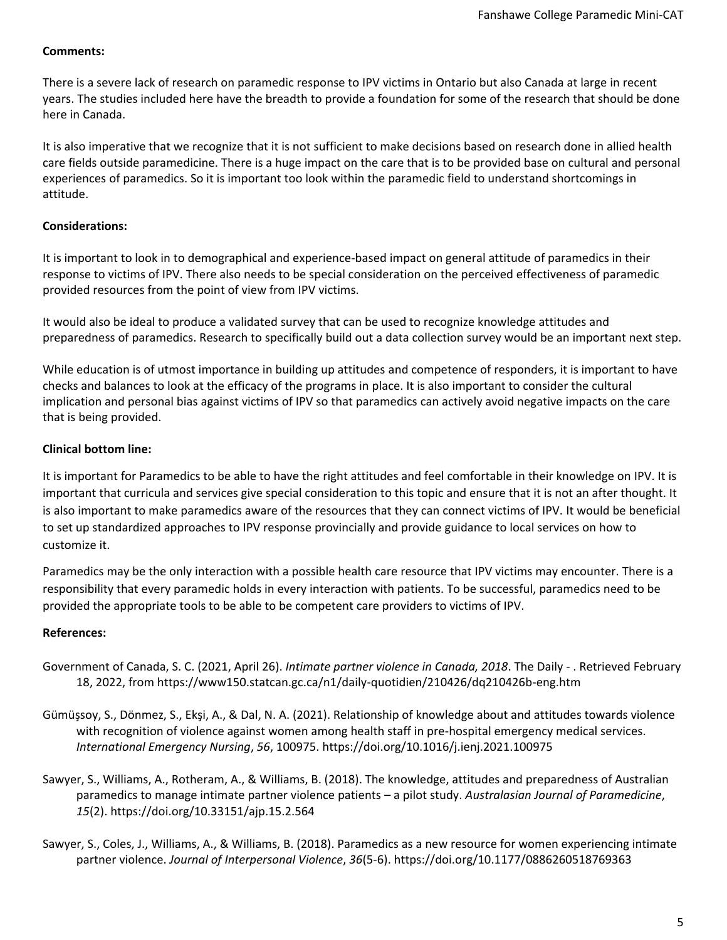# **Comments:**

There is a severe lack of research on paramedic response to IPV victims in Ontario but also Canada at large in recent years. The studies included here have the breadth to provide a foundation for some of the research that should be done here in Canada.

It is also imperative that we recognize that it is not sufficient to make decisions based on research done in allied health care fields outside paramedicine. There is a huge impact on the care that is to be provided base on cultural and personal experiences of paramedics. So it is important too look within the paramedic field to understand shortcomings in attitude.

# **Considerations:**

It is important to look in to demographical and experience-based impact on general attitude of paramedics in their response to victims of IPV. There also needs to be special consideration on the perceived effectiveness of paramedic provided resources from the point of view from IPV victims.

It would also be ideal to produce a validated survey that can be used to recognize knowledge attitudes and preparedness of paramedics. Research to specifically build out a data collection survey would be an important next step.

While education is of utmost importance in building up attitudes and competence of responders, it is important to have checks and balances to look at the efficacy of the programs in place. It is also important to consider the cultural implication and personal bias against victims of IPV so that paramedics can actively avoid negative impacts on the care that is being provided.

# **Clinical bottom line:**

It is important for Paramedics to be able to have the right attitudes and feel comfortable in their knowledge on IPV. It is important that curricula and services give special consideration to this topic and ensure that it is not an after thought. It is also important to make paramedics aware of the resources that they can connect victims of IPV. It would be beneficial to set up standardized approaches to IPV response provincially and provide guidance to local services on how to customize it.

Paramedics may be the only interaction with a possible health care resource that IPV victims may encounter. There is a responsibility that every paramedic holds in every interaction with patients. To be successful, paramedics need to be provided the appropriate tools to be able to be competent care providers to victims of IPV.

## **References:**

- Government of Canada, S. C. (2021, April 26). *Intimate partner violence in Canada, 2018*. The Daily . Retrieved February 18, 2022, from https://www150.statcan.gc.ca/n1/daily-quotidien/210426/dq210426b-eng.htm
- Gümüşsoy, S., Dönmez, S., Ekşi, A., & Dal, N. A. (2021). Relationship of knowledge about and attitudes towards violence with recognition of violence against women among health staff in pre-hospital emergency medical services. *International Emergency Nursing*, *56*, 100975. https://doi.org/10.1016/j.ienj.2021.100975
- Sawyer, S., Williams, A., Rotheram, A., & Williams, B. (2018). The knowledge, attitudes and preparedness of Australian paramedics to manage intimate partner violence patients – a pilot study. *Australasian Journal of Paramedicine*, *15*(2). https://doi.org/10.33151/ajp.15.2.564
- Sawyer, S., Coles, J., Williams, A., & Williams, B. (2018). Paramedics as a new resource for women experiencing intimate partner violence. *Journal of Interpersonal Violence*, *36*(5-6). https://doi.org/10.1177/0886260518769363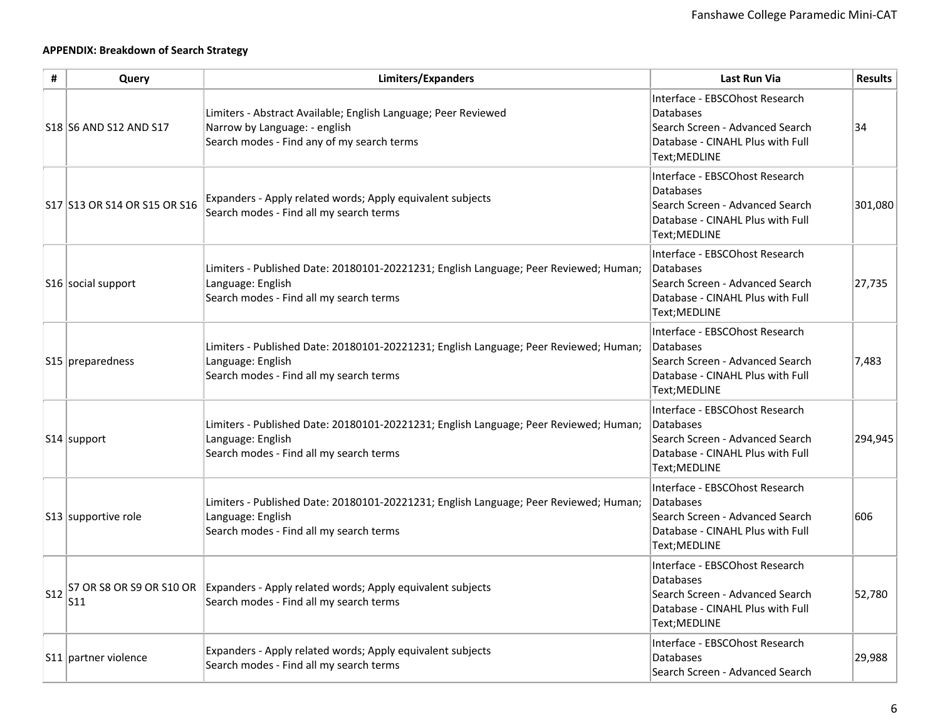# **APPENDIX: Breakdown of Search Strategy**

| #               | Query                        | Limiters/Expanders                                                                                                                                    | <b>Last Run Via</b>                                                                                                                        | <b>Results</b> |
|-----------------|------------------------------|-------------------------------------------------------------------------------------------------------------------------------------------------------|--------------------------------------------------------------------------------------------------------------------------------------------|----------------|
|                 | S18 S6 AND S12 AND S17       | Limiters - Abstract Available; English Language; Peer Reviewed<br>Narrow by Language: - english<br>Search modes - Find any of my search terms         | Interface - EBSCOhost Research<br>Databases<br>Search Screen - Advanced Search<br>Database - CINAHL Plus with Full<br>Text;MEDLINE         | 34             |
|                 | S17 S13 OR S14 OR S15 OR S16 | Expanders - Apply related words; Apply equivalent subjects<br>Search modes - Find all my search terms                                                 | Interface - EBSCOhost Research<br><b>Databases</b><br>Search Screen - Advanced Search<br>Database - CINAHL Plus with Full<br>Text; MEDLINE | 301,080        |
|                 | S16 social support           | Limiters - Published Date: 20180101-20221231; English Language; Peer Reviewed; Human;<br>Language: English<br>Search modes - Find all my search terms | Interface - EBSCOhost Research<br><b>Databases</b><br>Search Screen - Advanced Search<br>Database - CINAHL Plus with Full<br>Text; MEDLINE | 27,735         |
|                 | $S15$ preparedness           | Limiters - Published Date: 20180101-20221231; English Language; Peer Reviewed; Human;<br>Language: English<br>Search modes - Find all my search terms | Interface - EBSCOhost Research<br>Databases<br>Search Screen - Advanced Search<br>Database - CINAHL Plus with Full<br>Text; MEDLINE        | 7,483          |
|                 | $ S14 $ support              | Limiters - Published Date: 20180101-20221231; English Language; Peer Reviewed; Human;<br>Language: English<br>Search modes - Find all my search terms | Interface - EBSCOhost Research<br>Databases<br>Search Screen - Advanced Search<br>Database - CINAHL Plus with Full<br>Text; MEDLINE        | 294,945        |
|                 | S13 supportive role          | Limiters - Published Date: 20180101-20221231; English Language; Peer Reviewed; Human;<br>Language: English<br>Search modes - Find all my search terms | Interface - EBSCOhost Research<br><b>Databases</b><br>Search Screen - Advanced Search<br>Database - CINAHL Plus with Full<br>Text; MEDLINE | 606            |
| S <sub>12</sub> | $\vert$ S11                  | S7 OR S8 OR S9 OR S10 OR Expanders - Apply related words; Apply equivalent subjects<br>Search modes - Find all my search terms                        | Interface - EBSCOhost Research<br><b>Databases</b><br>Search Screen - Advanced Search<br>Database - CINAHL Plus with Full<br>Text; MEDLINE | 52,780         |
|                 | S11 partner violence         | Expanders - Apply related words; Apply equivalent subjects<br>Search modes - Find all my search terms                                                 | Interface - EBSCOhost Research<br>Databases<br>Search Screen - Advanced Search                                                             | 29,988         |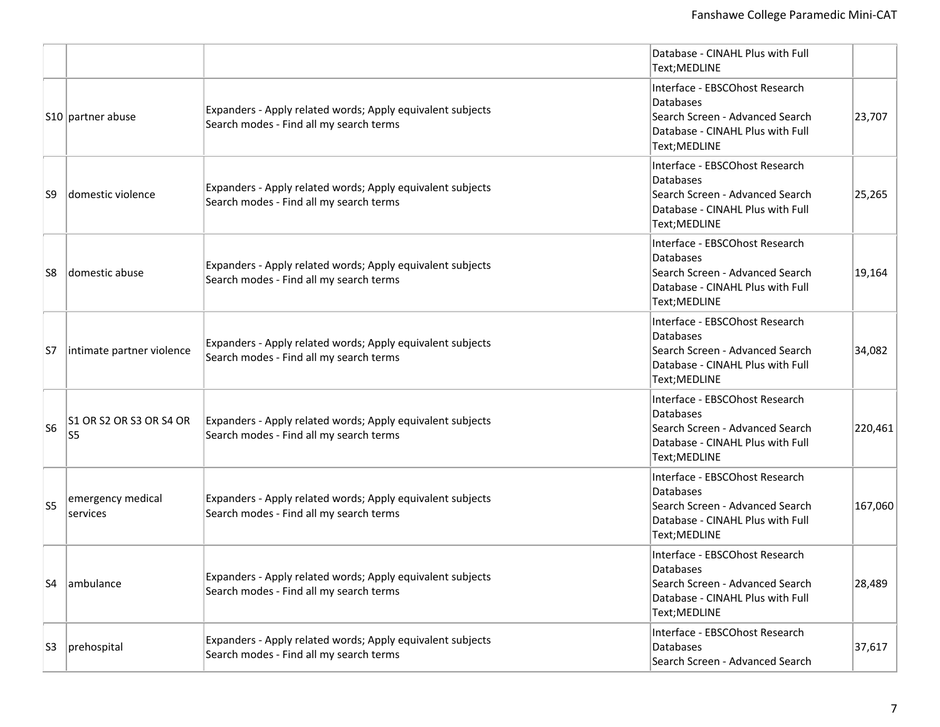|                |                               |                                                                                                       | Database - CINAHL Plus with Full<br>Text; MEDLINE                                                                                   |         |
|----------------|-------------------------------|-------------------------------------------------------------------------------------------------------|-------------------------------------------------------------------------------------------------------------------------------------|---------|
|                | S10 partner abuse             | Expanders - Apply related words; Apply equivalent subjects<br>Search modes - Find all my search terms | Interface - EBSCOhost Research<br>Databases<br>Search Screen - Advanced Search<br>Database - CINAHL Plus with Full<br>Text; MEDLINE | 23,707  |
| S9             | domestic violence             | Expanders - Apply related words; Apply equivalent subjects<br>Search modes - Find all my search terms | Interface - EBSCOhost Research<br>Databases<br>Search Screen - Advanced Search<br>Database - CINAHL Plus with Full<br>Text; MEDLINE | 25,265  |
| S8             | domestic abuse                | Expanders - Apply related words; Apply equivalent subjects<br>Search modes - Find all my search terms | Interface - EBSCOhost Research<br>Databases<br>Search Screen - Advanced Search<br>Database - CINAHL Plus with Full<br>Text; MEDLINE | 19,164  |
| S7             | intimate partner violence     | Expanders - Apply related words; Apply equivalent subjects<br>Search modes - Find all my search terms | Interface - EBSCOhost Research<br>Databases<br>Search Screen - Advanced Search<br>Database - CINAHL Plus with Full<br>Text; MEDLINE | 34,082  |
| S <sub>6</sub> | S1 OR S2 OR S3 OR S4 OR<br>S5 | Expanders - Apply related words; Apply equivalent subjects<br>Search modes - Find all my search terms | Interface - EBSCOhost Research<br>Databases<br>Search Screen - Advanced Search<br>Database - CINAHL Plus with Full<br>Text; MEDLINE | 220,461 |
| S <sub>5</sub> | emergency medical<br>services | Expanders - Apply related words; Apply equivalent subjects<br>Search modes - Find all my search terms | Interface - EBSCOhost Research<br>Databases<br>Search Screen - Advanced Search<br>Database - CINAHL Plus with Full<br>Text; MEDLINE | 167,060 |
| S4             | ambulance                     | Expanders - Apply related words; Apply equivalent subjects<br>Search modes - Find all my search terms | Interface - EBSCOhost Research<br>Databases<br>Search Screen - Advanced Search<br>Database - CINAHL Plus with Full<br>Text; MEDLINE | 28,489  |
| S3             | prehospital                   | Expanders - Apply related words; Apply equivalent subjects<br>Search modes - Find all my search terms | Interface - EBSCOhost Research<br>Databases<br>Search Screen - Advanced Search                                                      | 37,617  |